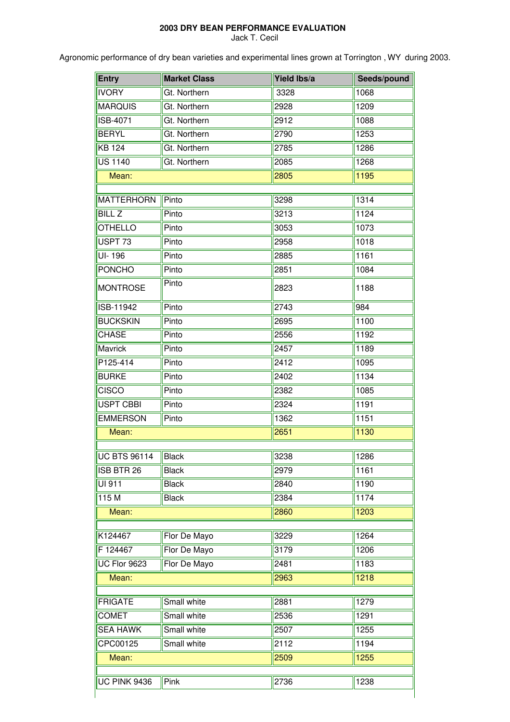## **2003 DRY BEAN PERFORMANCE EVALUATION**

Jack T. Cecil

Agronomic performance of dry bean varieties and experimental lines grown at Torrington , WY during 2003.

| <b>Entry</b>          | <b>Market Class</b> | Yield Ibs/a | Seeds/pound   |  |
|-----------------------|---------------------|-------------|---------------|--|
| <b>IVORY</b>          | Gt. Northern        | 3328        | 1068          |  |
| <b>MARQUIS</b>        | Gt. Northern        | 2928        | 1209          |  |
| <b>ISB-4071</b>       | Gt. Northern        | 2912        | 1088          |  |
| <b>BERYL</b>          | Gt. Northern        | 2790        | 1253          |  |
| <b>KB 124</b>         | Gt. Northern        | 2785        | 1286          |  |
| <b>US 1140</b>        | Gt. Northern        | 2085        | 1268          |  |
| Mean:                 |                     | 2805        | 1195          |  |
| <b>MATTERHORN</b>     | Pinto               | 3298        | 1314          |  |
| <b>BILL Z</b>         | Pinto               | 3213        | 1124          |  |
| <b>OTHELLO</b>        | Pinto               | 3053        | 1073          |  |
| USPT <sub>73</sub>    | Pinto               | 2958        | 1018          |  |
| $\overline{UI}$ -196  | Pinto               | 2885        | 1161          |  |
| <b>PONCHO</b>         | Pinto               | 2851        | 1084          |  |
| <b>MONTROSE</b>       | Pinto               | 2823        | 1188          |  |
| ISB-11942             | Pinto               | 2743        | 984           |  |
| <b>BUCKSKIN</b>       | Pinto               | 2695        | 1100          |  |
| <b>CHASE</b>          | Pinto               | 2556        | 1192          |  |
| Mavrick               | Pinto               | 2457        | 1189          |  |
| P125-414              | Pinto               | 2412        | 1095          |  |
| <b>BURKE</b>          | Pinto               | 2402        | 1134          |  |
| <b>CISCO</b>          | Pinto               | 2382        | 1085          |  |
| <b>USPT CBBI</b>      | Pinto               | 2324        | 1191          |  |
| <b>EMMERSON</b>       | Pinto               | 1362        | 1151          |  |
| Mean:                 |                     | 2651        | 1130          |  |
| UC BTS 96114 Black    |                     | 3238        | $\sqrt{1286}$ |  |
| ISB BTR 26            | <b>Black</b>        | 2979        | 1161          |  |
| UI 911                | <b>Black</b>        | 2840        | 1190          |  |
| 115M                  | <b>Black</b>        | 2384        | 1174          |  |
|                       |                     |             |               |  |
| 1203<br>Mean:<br>2860 |                     |             |               |  |
| K124467               | Flor De Mayo        | 3229        | 1264          |  |
| F 124467              | Flor De Mayo        | 3179        | 1206          |  |
| <b>UC Flor 9623</b>   | Flor De Mayo        | 2481        | 1183          |  |
| Mean:                 |                     | 2963        | 1218          |  |
|                       |                     |             |               |  |
| <b>FRIGATE</b>        | Small white         | 2881        | 1279          |  |
| <b>COMET</b>          | Small white         | 2536        | 1291          |  |
| <b>SEA HAWK</b>       | Small white         | 2507        | 1255          |  |
| CPC00125              | Small white         | 2112        | 1194          |  |
| Mean:                 |                     | 2509        | 1255          |  |
| <b>UC PINK 9436</b>   | Pink                | 2736        | 1238          |  |
|                       |                     |             |               |  |